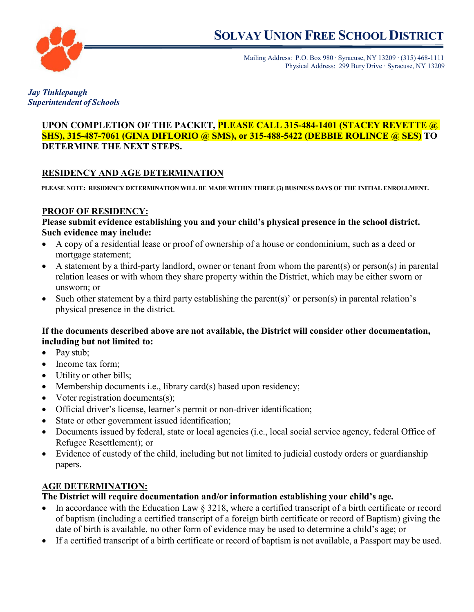

Mailing Address: P.O. Box 980 ∙ Syracuse, NY 13209 ∙ (315) 468-1111 Physical Address: 299 Bury Drive ∙ Syracuse, NY 13209

*Jay Tinklepaugh Superintendent of Schools*

#### **UPON COMPLETION OF THE PACKET, PLEASE CALL 315-484-1401 (STACEY REVETTE @ SHS), 315-487-7061 (GINA DIFLORIO @ SMS), or 315-488-5422 (DEBBIE ROLINCE @ SES) TO DETERMINE THE NEXT STEPS.**

# **RESIDENCY AND AGE DETERMINATION**

**PLEASE NOTE: RESIDENCY DETERMINATION WILL BE MADE WITHIN THREE (3) BUSINESS DAYS OF THE INITIAL ENROLLMENT.** 

#### **PROOF OF RESIDENCY:**

**Please submit evidence establishing you and your child's physical presence in the school district. Such evidence may include:**

- A copy of a residential lease or proof of ownership of a house or condominium, such as a deed or mortgage statement;
- A statement by a third-party landlord, owner or tenant from whom the parent(s) or person(s) in parental relation leases or with whom they share property within the District, which may be either sworn or unsworn; or
- Such other statement by a third party establishing the parent(s)' or person(s) in parental relation's physical presence in the district.

#### **If the documents described above are not available, the District will consider other documentation, including but not limited to:**

- Pay stub;
- Income tax form;
- Utility or other bills;
- Membership documents i.e., library card(s) based upon residency;
- Voter registration documents(s);
- Official driver's license, learner's permit or non-driver identification;
- State or other government issued identification;
- Documents issued by federal, state or local agencies (i.e., local social service agency, federal Office of Refugee Resettlement); or
- Evidence of custody of the child, including but not limited to judicial custody orders or guardianship papers.

## **AGE DETERMINATION:**

#### **The District will require documentation and/or information establishing your child's age.**

- In accordance with the Education Law § 3218, where a certified transcript of a birth certificate or record of baptism (including a certified transcript of a foreign birth certificate or record of Baptism) giving the date of birth is available, no other form of evidence may be used to determine a child's age; or
- If a certified transcript of a birth certificate or record of baptism is not available, a Passport may be used.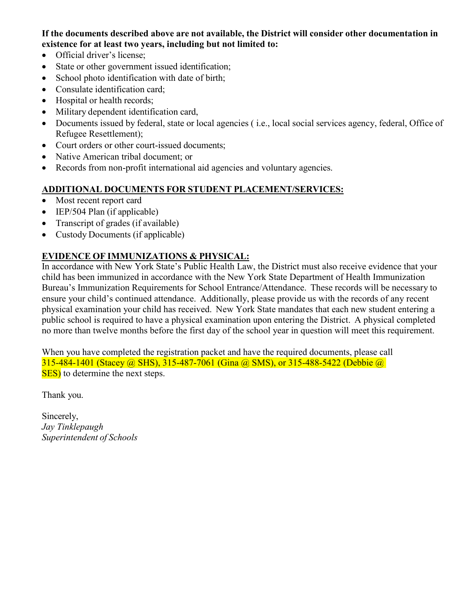#### **If the documents described above are not available, the District will consider other documentation in existence for at least two years, including but not limited to:**

- Official driver's license;
- State or other government issued identification;
- School photo identification with date of birth;
- Consulate identification card;
- Hospital or health records;
- Military dependent identification card,
- Documents issued by federal, state or local agencies ( i.e., local social services agency, federal, Office of Refugee Resettlement);
- Court orders or other court-issued documents;
- Native American tribal document; or
- Records from non-profit international aid agencies and voluntary agencies.

## **ADDITIONAL DOCUMENTS FOR STUDENT PLACEMENT/SERVICES:**

- Most recent report card
- IEP/504 Plan (if applicable)
- Transcript of grades (if available)
- Custody Documents (if applicable)

## **EVIDENCE OF IMMUNIZATIONS & PHYSICAL:**

In accordance with New York State's Public Health Law, the District must also receive evidence that your child has been immunized in accordance with the New York State Department of Health Immunization Bureau's Immunization Requirements for School Entrance/Attendance. These records will be necessary to ensure your child's continued attendance. Additionally, please provide us with the records of any recent physical examination your child has received. New York State mandates that each new student entering a public school is required to have a physical examination upon entering the District. A physical completed no more than twelve months before the first day of the school year in question will meet this requirement.

When you have completed the registration packet and have the required documents, please call 315-484-1401 (Stacey @ SHS), 315-487-7061 (Gina @ SMS), or 315-488-5422 (Debbie @ SES) to determine the next steps.

Thank you.

Sincerely, *Jay Tinklepaugh Superintendent of Schools*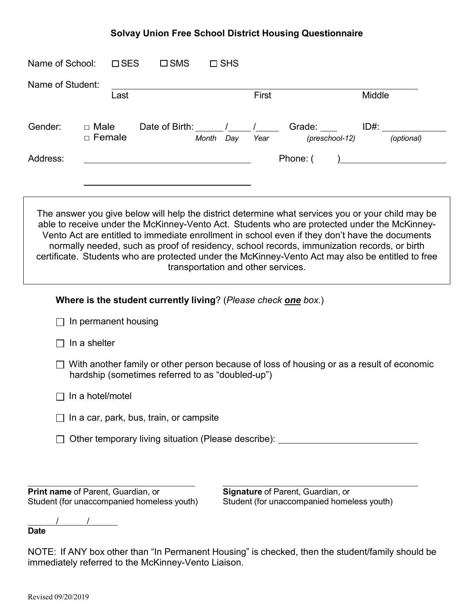#### **Solvay Union Free School District Housing Questionnaire**

| Name of Student: |                              | Last |                                        |       |     | First |          |                                        | Middle |                           |
|------------------|------------------------------|------|----------------------------------------|-------|-----|-------|----------|----------------------------------------|--------|---------------------------|
| Gender:          | $\Box$ Male<br>$\Box$ Female |      | Date of Birth: $\frac{1}{\sqrt{2\pi}}$ | Month | Day | Year  |          | Grade: <b>Called</b><br>(preschool-12) |        | $ID#: \_\_$<br>(optional) |
| Address:         |                              |      |                                        |       |     |       | Phone: ( |                                        |        |                           |
|                  |                              |      |                                        |       |     |       |          |                                        |        |                           |

able to receive under the McKinney-Vento Act. Students who are protected under the McKinney-Vento Act are entitled to immediate enrollment in school even if they don't have the documents normally needed, such as proof of residency, school records, immunization records, or birth certificate. Students who are protected under the McKinney-Vento Act may also be entitled to free transportation and other services.

| Where is the student currently living? (Please check one box.)                                                                                |  |
|-----------------------------------------------------------------------------------------------------------------------------------------------|--|
| In permanent housing                                                                                                                          |  |
| In a shelter                                                                                                                                  |  |
| With another family or other person because of loss of housing or as a result of economic<br>hardship (sometimes referred to as "doubled-up") |  |
| In a hotel/motel                                                                                                                              |  |
| In a car, park, bus, train, or campsite                                                                                                       |  |
| Other temporary living situation (Please describe):                                                                                           |  |
|                                                                                                                                               |  |
|                                                                                                                                               |  |

**Print name** of Parent, Guardian, or **Signature** of Parent, Guardian, or **Student (for unaccompanied homeless youth)** Student (for unaccompanied homeless youth)

/ /

**Date**

NOTE: If ANY box other than "In Permanent Housing" is checked, then the student/family should be immediately referred to the McKinney-Vento Liaison.

Revised 09/20/2019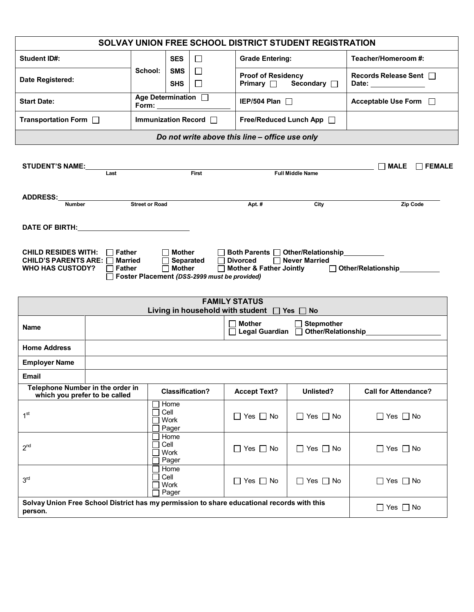|                                                                                                               |                                                                 | SOLVAY UNION FREE SCHOOL DISTRICT STUDENT REGISTRATION                                        |                                                                                               |                      |                                                                                |
|---------------------------------------------------------------------------------------------------------------|-----------------------------------------------------------------|-----------------------------------------------------------------------------------------------|-----------------------------------------------------------------------------------------------|----------------------|--------------------------------------------------------------------------------|
| <b>Student ID#:</b>                                                                                           |                                                                 | <b>SES</b><br>□                                                                               | <b>Grade Entering:</b>                                                                        |                      | Teacher/Homeroom #:                                                            |
| Date Registered:                                                                                              | School:                                                         | <b>SMS</b><br>$\Box$<br><b>SHS</b><br>$\Box$                                                  | <b>Proof of Residency</b><br>Primary $\Box$                                                   | Secondary $\Box$     | Records Release Sent □<br>Date: ______________                                 |
| <b>Start Date:</b>                                                                                            | Age Determination $\Box$<br>IEP/504 Plan $\Box$<br>$Form: \_\_$ |                                                                                               |                                                                                               |                      | Acceptable Use Form □                                                          |
| Transportation Form $\Box$                                                                                    | Immunization Record                                             |                                                                                               | Free/Reduced Lunch App [                                                                      |                      |                                                                                |
|                                                                                                               |                                                                 |                                                                                               | Do not write above this line - office use only                                                |                      |                                                                                |
| <b>STUDENT'S NAME:</b><br><u>Last</u>                                                                         |                                                                 | <b>Example 1</b>                                                                              |                                                                                               | Full Middle Name     | $\Box$ MALE<br>$\Box$ FEMALE                                                   |
|                                                                                                               |                                                                 |                                                                                               |                                                                                               |                      |                                                                                |
| ADDRESS:                                                                                                      |                                                                 |                                                                                               |                                                                                               |                      |                                                                                |
| <b>Number</b>                                                                                                 | <b>Street or Road</b>                                           |                                                                                               | Apt. #                                                                                        | City                 | Zip Code                                                                       |
| DATE OF BIRTH: New York Contract of Birth Street, and the Street of Street Australian Contract of the U.S. (1 |                                                                 |                                                                                               |                                                                                               |                      |                                                                                |
| <b>Married</b><br>$\Box$ Father                                                                               | $\Box$                                                          | <b>Mother</b><br>Separated<br>$\Box$ Mother<br>□ Foster Placement (DSS-2999 must be provided) | □ Both Parents □ Other/Relationship<br><b>Divorced</b><br>$\Box$<br>□ Mother & Father Jointly | □ Never Married      | Other/Relationship<br>Other/Relationship                                       |
| CHILD RESIDES WITH: $\Box$ Father<br>CHILD'S PARENTS ARE: $\Box$<br><b>WHO HAS CUSTODY?</b>                   |                                                                 |                                                                                               | <b>FAMILY STATUS</b><br>Living in household with student   Yes   No<br><b>Mother</b>          | $\Box$ Stepmother    |                                                                                |
| Name                                                                                                          |                                                                 |                                                                                               |                                                                                               |                      | □ Legal Guardian □ Other/Relationship<br>□ Legal Guardian □ Other/Relationship |
| <b>Home Address</b>                                                                                           |                                                                 |                                                                                               |                                                                                               |                      |                                                                                |
| <b>Employer Name</b>                                                                                          |                                                                 |                                                                                               |                                                                                               |                      |                                                                                |
| <b>Email</b>                                                                                                  |                                                                 |                                                                                               |                                                                                               |                      |                                                                                |
| Telephone Number in the order in<br>which you prefer to be called                                             |                                                                 | <b>Classification?</b>                                                                        | <b>Accept Text?</b>                                                                           | Unlisted?            | <b>Call for Attendance?</b>                                                    |
| 1 <sup>st</sup>                                                                                               | Cell                                                            | Home<br>Work<br>Pager                                                                         | $\Box$ Yes $\Box$ No                                                                          | $\Box$ Yes $\Box$ No | $\Box$ Yes $\Box$ No                                                           |
|                                                                                                               | Cell                                                            | Home<br>Work<br>Pager                                                                         | $\Box$ Yes $\Box$ No                                                                          | $\Box$ Yes $\Box$ No | $\Box$ Yes $\Box$ No                                                           |
| 2 <sup>nd</sup><br>3 <sup>rd</sup>                                                                            | Cell                                                            | Home<br>Work<br>Pager                                                                         | $\Box$ Yes $\Box$ No                                                                          | $\Box$ Yes $\Box$ No | $\Box$ Yes $\Box$ No                                                           |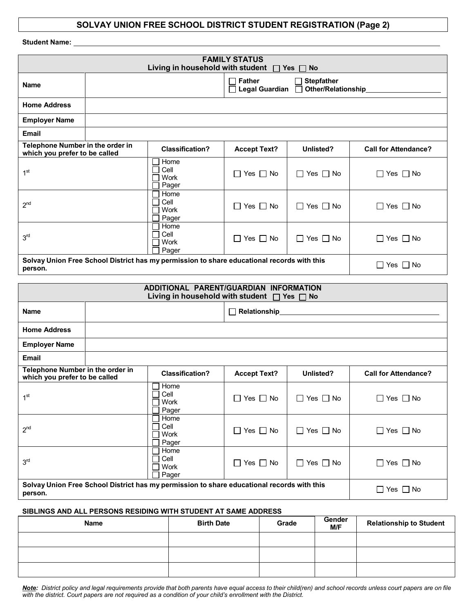#### **SOLVAY UNION FREE SCHOOL DISTRICT STUDENT REGISTRATION (Page 2)**

| <b>Student Name:</b>                                                                    |  |                                                                                                 |                                                                                        |                      |                             |  |  |
|-----------------------------------------------------------------------------------------|--|-------------------------------------------------------------------------------------------------|----------------------------------------------------------------------------------------|----------------------|-----------------------------|--|--|
| <b>FAMILY STATUS</b><br>Living in household with student $\Box$ Yes $\Box$<br><b>No</b> |  |                                                                                                 |                                                                                        |                      |                             |  |  |
| <b>Name</b>                                                                             |  |                                                                                                 | <b>Father</b><br><b>Stepfather</b><br>┓<br><b>Legal Guardian</b><br>Other/Relationship |                      |                             |  |  |
| <b>Home Address</b>                                                                     |  |                                                                                                 |                                                                                        |                      |                             |  |  |
| <b>Employer Name</b>                                                                    |  |                                                                                                 |                                                                                        |                      |                             |  |  |
| Email                                                                                   |  |                                                                                                 |                                                                                        |                      |                             |  |  |
| Telephone Number in the order in<br>which you prefer to be called                       |  | <b>Classification?</b>                                                                          | <b>Accept Text?</b>                                                                    | Unlisted?            | <b>Call for Attendance?</b> |  |  |
| 1 <sup>st</sup>                                                                         |  | Home<br>Cell<br>Work<br>Pager                                                                   | $\Box$ Yes $\Box$ No                                                                   | $\Box$ Yes $\Box$ No | $\Box$ Yes $\Box$ No        |  |  |
| 2 <sup>nd</sup>                                                                         |  | Home<br>Cell<br>Work<br>Pager                                                                   | $\Box$ Yes $\Box$ No                                                                   | $\Box$ Yes $\Box$ No | $\Box$ Yes $\Box$ No        |  |  |
| 3 <sup>rd</sup>                                                                         |  | Home<br>Cell<br>Work<br>Pager                                                                   | $\Box$ Yes $\Box$ No                                                                   | $\Box$ Yes $\Box$ No | $\Box$ Yes $\Box$ No        |  |  |
| person.                                                                                 |  | Solvay Union Free School District has my permission to share educational records with this      |                                                                                        |                      | $\Box$ Yes $\Box$ No        |  |  |
|                                                                                         |  | ADDITIONAL PARENT/GUARDIAN INFORMATION<br>Living in household with student $\Box$ Yes $\Box$ No |                                                                                        |                      |                             |  |  |
| <b>Name</b>                                                                             |  |                                                                                                 | Relationship                                                                           |                      |                             |  |  |
| <b>Home Address</b>                                                                     |  |                                                                                                 |                                                                                        |                      |                             |  |  |
| <b>Employer Name</b>                                                                    |  |                                                                                                 |                                                                                        |                      |                             |  |  |
| <b>Email</b>                                                                            |  |                                                                                                 |                                                                                        |                      |                             |  |  |
| Telephone Number in the order in<br>which you prefer to be called                       |  | <b>Classification?</b>                                                                          | <b>Accept Text?</b>                                                                    | Unlisted?            | <b>Call for Attendance?</b> |  |  |
| 1 <sup>st</sup>                                                                         |  | $\Box$ Home<br>Cell<br>Work<br>Pager                                                            | $\Box$ Yes $\Box$ No                                                                   | $\Box$ Yes $\Box$ No | $\Box$ Yes $\Box$ No        |  |  |
| 2 <sup>nd</sup>                                                                         |  | Home<br>Cell<br>Work<br>Pager                                                                   | $\Box$ Yes $\Box$ No                                                                   | $\Box$ Yes $\Box$ No | $\Box$ Yes $\Box$ No        |  |  |
| 3 <sup>rd</sup>                                                                         |  | Home<br>Cell<br>Work<br>Pager                                                                   | $\Box$ Yes $\Box$ No                                                                   | $\Box$ Yes $\Box$ No | $\Box$ Yes $\Box$ No        |  |  |

**Solvay Union Free School District has my permission to share educational records with this person.** Yes No

#### **SIBLINGS AND ALL PERSONS RESIDING WITH STUDENT AT SAME ADDRESS**

| <b>Name</b> | <b>Birth Date</b> | Grade | Gender<br>M/F | <b>Relationship to Student</b> |
|-------------|-------------------|-------|---------------|--------------------------------|
|             |                   |       |               |                                |
|             |                   |       |               |                                |
|             |                   |       |               |                                |

<u>Note</u>: District policy and legal requirements provide that both parents have equal access to their child(ren) and school records unless court papers are on file *with the district. Court papers are not required as a condition of your child's enrollment with the District.*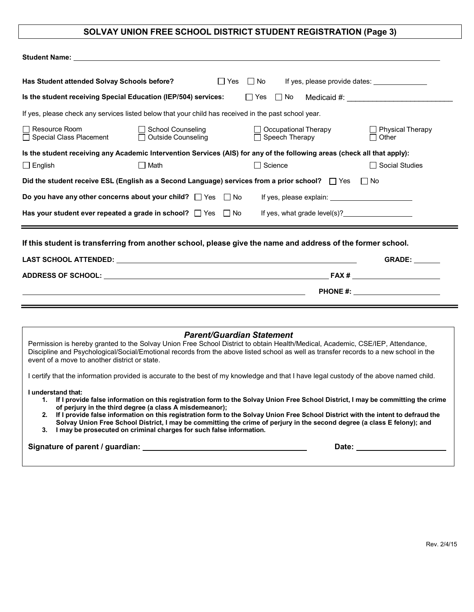# **SOLVAY UNION FREE SCHOOL DISTRICT STUDENT REGISTRATION (Page 3)**

| Has Student attended Solvay Schools before?     | $\Box$ Yes                                                                                                               | □ No If yes, please provide dates: <u>______________</u> |                                         |
|-------------------------------------------------|--------------------------------------------------------------------------------------------------------------------------|----------------------------------------------------------|-----------------------------------------|
|                                                 | Is the student receiving Special Education (IEP/504) services:                                                           | $\Box$ Yes $\Box$ No                                     |                                         |
|                                                 | If yes, please check any services listed below that your child has received in the past school year.                     |                                                          |                                         |
| Resource Room<br>$\Box$ Special Class Placement | □ School Counseling<br>□ Outside Counseling                                                                              | □ Occupational Therapy<br>$\Box$ Speech Therapy          | $\Box$ Physical Therapy<br>$\Box$ Other |
|                                                 | Is the student receiving any Academic Intervention Services (AIS) for any of the following areas (check all that apply): |                                                          |                                         |
| $\Box$ English                                  | $\Box$ Math                                                                                                              | Science<br>П                                             | □ Social Studies                        |
|                                                 | Did the student receive ESL (English as a Second Language) services from a prior school? □ Yes                           |                                                          | $\Box$ No                               |
|                                                 |                                                                                                                          |                                                          |                                         |
|                                                 | Has your student ever repeated a grade in school? $\Box$ Yes $\Box$ No                                                   | If yes, what grade $level(s)?$                           |                                         |
|                                                 | If this student is transferring from another school, please give the name and address of the former school.              |                                                          |                                         |
|                                                 |                                                                                                                          |                                                          | <b>GRADE:</b>                           |
| ADDRESS OF SCHOOL:                              | <u> 1980 - Johann Barn, mars ann an t-Amhain Aonaichte ann an t-Amhain Aonaichte ann an t-Amhain Aonaichte ann an</u>    | FAX #                                                    |                                         |

| <b>Parent/Guardian Statement</b><br>Permission is hereby granted to the Solvay Union Free School District to obtain Health/Medical, Academic, CSE/IEP, Attendance,<br>Discipline and Psychological/Social/Emotional records from the above listed school as well as transfer records to a new school in the<br>event of a move to another district or state.                                                                                                                                                                                                         |
|----------------------------------------------------------------------------------------------------------------------------------------------------------------------------------------------------------------------------------------------------------------------------------------------------------------------------------------------------------------------------------------------------------------------------------------------------------------------------------------------------------------------------------------------------------------------|
| I certify that the information provided is accurate to the best of my knowledge and that I have legal custody of the above named child.                                                                                                                                                                                                                                                                                                                                                                                                                              |
| I understand that:<br>1. If I provide false information on this registration form to the Solvay Union Free School District, I may be committing the crime<br>of perjury in the third degree (a class A misdemeanor);<br>2. If I provide false information on this registration form to the Solvay Union Free School District with the intent to defraud the<br>Solvay Union Free School District, I may be committing the crime of perjury in the second degree (a class E felony); and<br>I may be prosecuted on criminal charges for such false information.<br>3. |
| Signature of parent / guardian:<br>Date:                                                                                                                                                                                                                                                                                                                                                                                                                                                                                                                             |

**PHONE #:**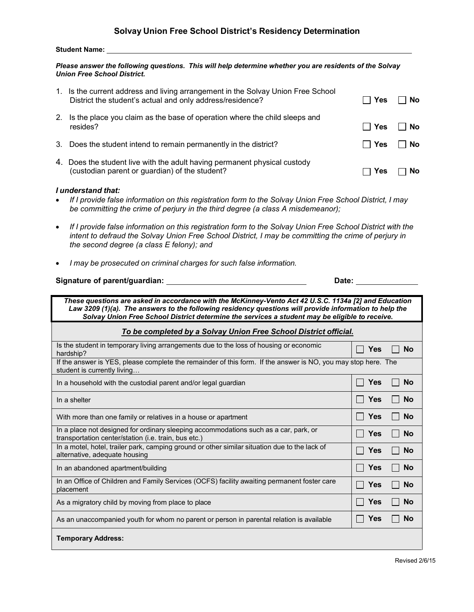#### **Student Name:**

*Please answer the following questions. This will help determine whether you are residents of the Solvay Union Free School District.*

|                                                                                                                                                                                                                                                                                                                   | 1. Is the current address and living arrangement in the Solvay Union Free School<br>District the student's actual and only address/residence?                                                                                                                   | Yes        | No        |  |  |  |
|-------------------------------------------------------------------------------------------------------------------------------------------------------------------------------------------------------------------------------------------------------------------------------------------------------------------|-----------------------------------------------------------------------------------------------------------------------------------------------------------------------------------------------------------------------------------------------------------------|------------|-----------|--|--|--|
| 2.                                                                                                                                                                                                                                                                                                                | Is the place you claim as the base of operation where the child sleeps and<br>resides?                                                                                                                                                                          | Yes        | <b>No</b> |  |  |  |
| 3.                                                                                                                                                                                                                                                                                                                | Does the student intend to remain permanently in the district?                                                                                                                                                                                                  | Yes        | No        |  |  |  |
|                                                                                                                                                                                                                                                                                                                   | 4. Does the student live with the adult having permanent physical custody<br>(custodian parent or guardian) of the student?                                                                                                                                     | Yes        | <b>No</b> |  |  |  |
|                                                                                                                                                                                                                                                                                                                   | I understand that:<br>If I provide false information on this registration form to the Solvay Union Free School District, I may<br>be committing the crime of perjury in the third degree (a class A misdemeanor);                                               |            |           |  |  |  |
|                                                                                                                                                                                                                                                                                                                   | If I provide false information on this registration form to the Solvay Union Free School District with the<br>intent to defraud the Solvay Union Free School District, I may be committing the crime of perjury in<br>the second degree (a class E felony); and |            |           |  |  |  |
|                                                                                                                                                                                                                                                                                                                   | I may be prosecuted on criminal charges for such false information.                                                                                                                                                                                             |            |           |  |  |  |
|                                                                                                                                                                                                                                                                                                                   | Signature of parent/guardian:                                                                                                                                                                                                                                   | Date:      |           |  |  |  |
| These questions are asked in accordance with the McKinney-Vento Act 42 U.S.C. 1134a [2] and Education<br>Law 3209 (1)(a). The answers to the following residency questions will provide information to help the<br>Solvay Union Free School District determine the services a student may be eligible to receive. |                                                                                                                                                                                                                                                                 |            |           |  |  |  |
|                                                                                                                                                                                                                                                                                                                   |                                                                                                                                                                                                                                                                 |            |           |  |  |  |
|                                                                                                                                                                                                                                                                                                                   | To be completed by a Solvay Union Free School District official.                                                                                                                                                                                                |            |           |  |  |  |
|                                                                                                                                                                                                                                                                                                                   | Is the student in temporary living arrangements due to the loss of housing or economic<br>hardship?                                                                                                                                                             | Yes        | <b>No</b> |  |  |  |
|                                                                                                                                                                                                                                                                                                                   | If the answer is YES, please complete the remainder of this form. If the answer is NO, you may stop here. The<br>student is currently living                                                                                                                    |            |           |  |  |  |
|                                                                                                                                                                                                                                                                                                                   | In a household with the custodial parent and/or legal guardian                                                                                                                                                                                                  | <b>Yes</b> | <b>No</b> |  |  |  |
|                                                                                                                                                                                                                                                                                                                   | In a shelter                                                                                                                                                                                                                                                    | <b>Yes</b> | <b>No</b> |  |  |  |
|                                                                                                                                                                                                                                                                                                                   | With more than one family or relatives in a house or apartment                                                                                                                                                                                                  | <b>Yes</b> | <b>No</b> |  |  |  |
|                                                                                                                                                                                                                                                                                                                   | In a place not designed for ordinary sleeping accommodations such as a car, park, or<br>transportation center/station (i.e. train, bus etc.)                                                                                                                    | <b>Yes</b> | No        |  |  |  |
|                                                                                                                                                                                                                                                                                                                   | In a motel, hotel, trailer park, camping ground or other similar situation due to the lack of<br>alternative, adequate housing                                                                                                                                  | <b>Yes</b> | <b>No</b> |  |  |  |
|                                                                                                                                                                                                                                                                                                                   | In an abandoned apartment/building                                                                                                                                                                                                                              | <b>Yes</b> | <b>No</b> |  |  |  |
|                                                                                                                                                                                                                                                                                                                   | In an Office of Children and Family Services (OCFS) facility awaiting permanent foster care<br>placement                                                                                                                                                        | <b>Yes</b> | <b>No</b> |  |  |  |
|                                                                                                                                                                                                                                                                                                                   | As a migratory child by moving from place to place                                                                                                                                                                                                              | Yes        | <b>No</b> |  |  |  |
|                                                                                                                                                                                                                                                                                                                   | As an unaccompanied youth for whom no parent or person in parental relation is available                                                                                                                                                                        | Yes        | <b>No</b> |  |  |  |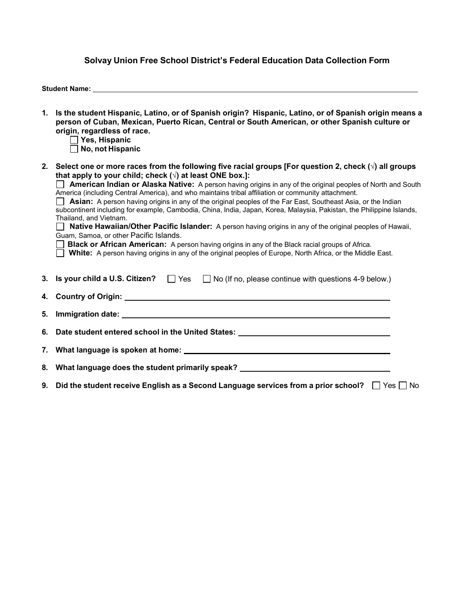#### **Solvay Union Free School District's Federal Education Data Collection Form**

**Student Name:** 

- 1. Is the student Hispanic, Latino, or of Spanish origin? Hispanic, Latino, or of Spanish origin means a **person of Cuban, Mexican, Puerto Rican, Central or South American, or other Spanish culture or origin, regardless of race.**
	- **Yes, Hispanic**
	- **No, not Hispanic**
- 2. Select one or more races from the following five racial groups [For question 2, check  $(\sqrt{ } )$  all groups **that apply to your child; check (√) at least ONE box.]:**

**American Indian or Alaska Native:** A person having origins in any of the original peoples of North and South America (including Central America), and who maintains tribal affiliation or community attachment.

**Asian:** A person having origins in any of the original peoples of the Far East, Southeast Asia, or the Indian subcontinent including for example, Cambodia, China, India, Japan, Korea, Malaysia, Pakistan, the Philippine Islands, Thailand, and Vietnam.

**Native Hawaiian/Other Pacific Islander:** A person having origins in any of the original peoples of Hawaii, Guam, Samoa, or other Pacific Islands.

**Black or African American:** A person having origins in any of the Black racial groups of Africa.

**White:** A person having origins in any of the original peoples of Europe, North Africa, or the Middle East.

| 3. Is your child a U.S. Citizen? $\Box$ Yes $\Box$ No (If no, please continue with questions 4-9 below.)                                                                                                                       |
|--------------------------------------------------------------------------------------------------------------------------------------------------------------------------------------------------------------------------------|
|                                                                                                                                                                                                                                |
| 5. Immigration date: 1988 and 2008 and 2008 and 2008 and 2008 and 2008 and 2008 and 2008 and 2008 and 2008 and 2008 and 2008 and 2008 and 2008 and 2008 and 2008 and 2008 and 2008 and 2008 and 2008 and 2008 and 2008 and 200 |
| 6. Date student entered school in the United States: ___________________________                                                                                                                                               |
|                                                                                                                                                                                                                                |
| 8. What language does the student primarily speak? _____________________________                                                                                                                                               |
| 9. Did the student receive English as a Second Language services from a prior school? $\Box$ Yes $\Box$ No                                                                                                                     |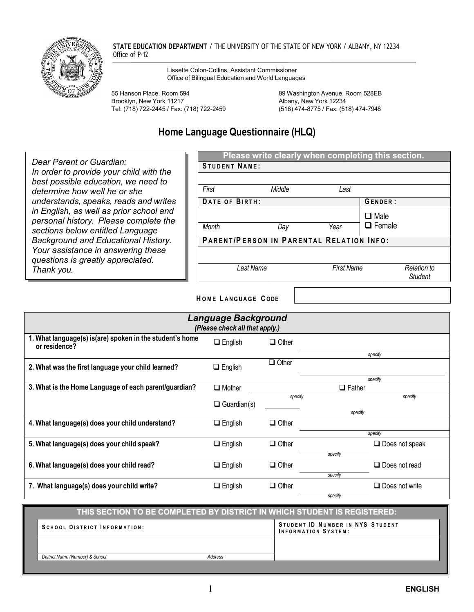

**STATE EDUCATION DEPARTMENT** / THE UNIVERSITY OF THE STATE OF NEW YORK / ALBANY, NY 12234 Office of P-12

> Lissette Colon-Collins, Assistant Commissioner Office of Bilingual Education and World Languages

55 Hanson Place, Room 594 89 Washington Avenue, Room 528EB Brooklyn, New York 11217<br>Tel: (718) 722-2445 / Fax: (718) 722-2459 (518) 474-8775 / Fax: (518) 474-7948 Tel: (718) 722-2445 / Fax: (718) 722-2459

# **Home Language Questionnaire (HLQ)**

|                                                                                                                      |                                          | Please write clearly when completing this section. |                   |                              |                    |  |
|----------------------------------------------------------------------------------------------------------------------|------------------------------------------|----------------------------------------------------|-------------------|------------------------------|--------------------|--|
| Dear Parent or Guardian:                                                                                             | <b>STUDENT NAME:</b>                     |                                                    |                   |                              |                    |  |
| In order to provide your child with the<br>best possible education, we need to<br>determine how well he or she       | First                                    | Middle                                             | Last              |                              |                    |  |
| understands, speaks, reads and writes                                                                                | DATE OF BIRTH:                           |                                                    |                   | GENDER:                      |                    |  |
| in English, as well as prior school and<br>personal history. Please complete the<br>sections below entitled Language | Month                                    | Day                                                | Year              | $\Box$ Male<br>$\Box$ Female |                    |  |
| Background and Educational History.                                                                                  | PARENT/PERSON IN PARENTAL RELATION INFO: |                                                    |                   |                              |                    |  |
| Your assistance in answering these<br>questions is greatly appreciated.<br>Thank you.                                |                                          | Last Name                                          | <b>First Name</b> |                              | <b>Relation to</b> |  |
|                                                                                                                      |                                          |                                                    |                   |                              | Student            |  |

**H O M E L ANGUAGE C ODE** 

| <b>Language Background</b><br>(Please check all that apply.)              |                    |              |                       |  |
|---------------------------------------------------------------------------|--------------------|--------------|-----------------------|--|
| 1. What language(s) is(are) spoken in the student's home<br>or residence? | $\Box$ English     | $\Box$ Other |                       |  |
|                                                                           |                    |              | specify               |  |
| 2. What was the first language your child learned?                        | $\Box$ English     | $\Box$ Other |                       |  |
|                                                                           |                    |              | specify               |  |
| 3. What is the Home Language of each parent/guardian?                     | $\Box$ Mother      |              | $\Box$ Father         |  |
|                                                                           |                    | specify      | specify               |  |
|                                                                           | $\Box$ Guardian(s) |              |                       |  |
|                                                                           |                    |              | specify               |  |
| 4. What language(s) does your child understand?                           | $\Box$ English     | $\Box$ Other |                       |  |
|                                                                           |                    |              | specify               |  |
| 5. What language(s) does your child speak?                                | $\Box$ English     | $\Box$ Other | $\Box$ Does not speak |  |
|                                                                           |                    |              | specify               |  |
| 6. What language(s) does your child read?                                 | $\Box$ English     | $\Box$ Other | $\Box$ Does not read  |  |
|                                                                           |                    |              | specify               |  |
| 7. What language(s) does your child write?                                | $\Box$ English     | $\Box$ Other | $\Box$ Does not write |  |
|                                                                           |                    |              | specify               |  |

#### **THIS SECTION TO BE COMPLETED BY DISTRICT IN WHICH STUDENT IS REGISTERED:**

| SCHOOL DISTRICT INFORMATION:    |         | STUDENT ID NUMBER IN NYS STUDENT<br><b>INFORMATION SYSTEM:</b> |
|---------------------------------|---------|----------------------------------------------------------------|
|                                 |         |                                                                |
| District Name (Number) & School | Address |                                                                |
|                                 |         |                                                                |